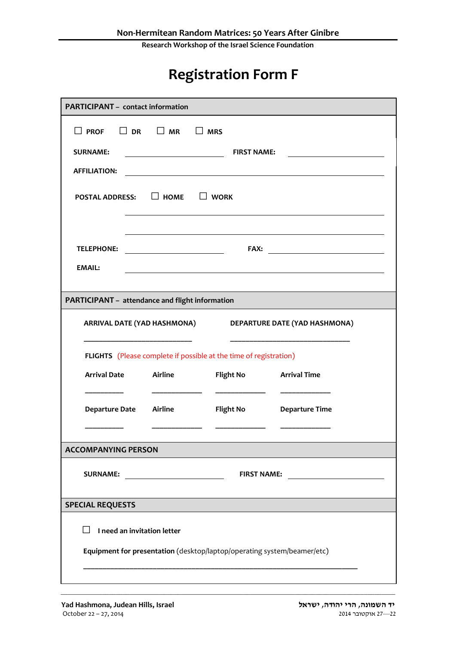**Research Workshop of the Israel Science Foundation**

## **Registration Form F**

| <b>PARTICIPANT - contact information</b>                          |                                                                         |                  |                       |  |  |
|-------------------------------------------------------------------|-------------------------------------------------------------------------|------------------|-----------------------|--|--|
| $\Box$ PROF                                                       | $\Box$ DR $\Box$ MR $\Box$ MRS                                          |                  |                       |  |  |
| <b>SURNAME:</b>                                                   | <b>FIRST NAME:</b>                                                      |                  |                       |  |  |
| <b>AFFILIATION:</b>                                               |                                                                         |                  |                       |  |  |
| <b>POSTAL ADDRESS:</b> $\Box$ HOME $\Box$ WORK                    |                                                                         |                  |                       |  |  |
| <b>TELEPHONE:</b>                                                 | <u> 1989 - Johann Barbara, martin a</u>                                 |                  |                       |  |  |
| <b>EMAIL:</b>                                                     |                                                                         |                  |                       |  |  |
| PARTICIPANT - attendance and flight information                   |                                                                         |                  |                       |  |  |
| ARRIVAL DATE (YAD HASHMONA) DEPARTURE DATE (YAD HASHMONA)         |                                                                         |                  |                       |  |  |
| FLIGHTS (Please complete if possible at the time of registration) |                                                                         |                  |                       |  |  |
| <b>Arrival Date</b>                                               | Airline                                                                 | <b>Flight No</b> | <b>Arrival Time</b>   |  |  |
| Departure Date Airline                                            |                                                                         | <b>Flight No</b> | <b>Departure Time</b> |  |  |
| <b>ACCOMPANYING PERSON</b>                                        |                                                                         |                  |                       |  |  |
| <b>SURNAME:</b>                                                   | <b>FIRST NAME:</b>                                                      |                  |                       |  |  |
| <b>SPECIAL REQUESTS</b>                                           |                                                                         |                  |                       |  |  |
|                                                                   | I need an invitation letter                                             |                  |                       |  |  |
|                                                                   | Equipment for presentation (desktop/laptop/operating system/beamer/etc) |                  |                       |  |  |
|                                                                   |                                                                         |                  |                       |  |  |

\_\_\_\_\_\_\_\_\_\_\_\_\_\_\_\_\_\_\_\_\_\_\_\_\_\_\_\_\_\_\_\_\_\_\_\_\_\_\_\_\_\_\_\_\_\_\_\_\_\_\_\_\_\_\_\_\_\_\_\_\_\_\_\_\_\_\_\_\_\_\_\_\_\_\_\_\_\_\_\_\_\_\_\_\_\_\_\_\_\_\_\_\_\_\_\_\_